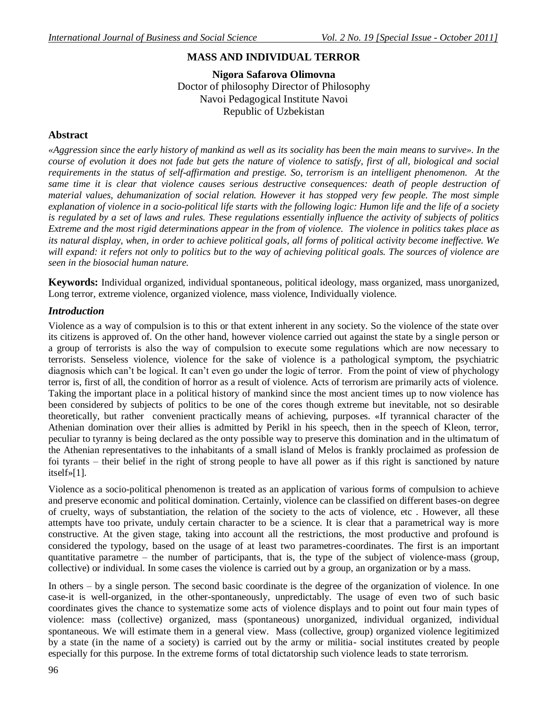## **MASS AND INDIVIDUAL TERROR**

**Nigora Safarova Olimovna**  Doctor of philosophy Director of Philosophy Navoi Pedagogical Institute Navoi Republic of Uzbekistan

## **Abstract**

*«Aggression since the early history of mankind as well as its sociality has been the main means to survive». In the course of evolution it does not fade but gets the nature of violence to satisfy, first of all, biological and social requirements in the status of self-affirmation and prestige. So, terrorism is an intelligent phenomenon. At the same time it is clear that violence causes serious destructive consequences: death of people destruction of material values, dehumanization of social relation. However it has stopped very few people. The most simple explanation of violence in a socio-political life starts with the following logic: Humon life and the life of a society is regulated by a set of laws and rules. These regulations essentially influence the activity of subjects of politics Extreme and the most rigid determinations appear in the from of violence. The violence in politics takes place as its natural display, when, in order to achieve political goals, all forms of political activity become ineffective. We will expand: it refers not only to politics but to the way of achieving political goals. The sources of violence are seen in the biosocial human nature.* 

**Keywords:** Individual organized, individual spontaneous, political ideology, mass organized, mass unorganized, Long terror, extreme violence, organized violence, mass violence, Individually violence.

## *Introduction*

Violence as a way of compulsion is to this or that extent inherent in any society. So the violence of the state over its citizens is approved of. On the other hand, however violence carried out against the state by a single person or a group of terrorists is also the way of compulsion to execute some regulations which are now necessary to terrorists. Senseless violence, violence for the sake of violence is a pathological symptom, the psychiatric diagnosis which can't be logical. It can't even go under the logic of terror. From the point of view of phychology terror is, first of all, the condition of horror as a result of violence. Acts of terrorism are primarily acts of violence. Taking the important place in a political history of mankind since the most ancient times up to now violence has been considered by subjects of politics to be one of the cores though extreme but inevitable, not so desirable theoretically, but rather convenient practically means of achieving, purposes. «If tyrannical character of the Athenian domination over their allies is admitted by Perikl in his speech, then in the speech of Kleon, terror, peculiar to tyranny is being declared as the onty possible way to preserve this domination and in the ultimatum of the Athenian representatives to the inhabitants of a small island of Melos is frankly proclaimed as profession de foi tyrants – their belief in the right of strong people to have all power as if this right is sanctioned by nature itself»[1].

Violence as a socio-political phenomenon is treated as an application of various forms of compulsion to achieve and preserve economic and political domination. Certainly, violence can be classified on different bases-on degree of cruelty, ways of substantiation, the relation of the society to the acts of violence, etc . However, all these attempts have too private, unduly certain character to be a science. It is clear that a parametrical way is more constructive. At the given stage, taking into account all the restrictions, the most productive and profound is considered the typology, based on the usage of at least two parametres-coordinates. The first is an important quantitative parametre – the number of participants, that is, the type of the subject of violence-mass (group, collective) or individual. In some cases the violence is carried out by a group, an organization or by a mass.

In others – by a single person. The second basic coordinate is the degree of the organization of violence. In one case-it is well-organized, in the other-spontaneously, unpredictably. The usage of even two of such basic coordinates gives the chance to systematize some acts of violence displays and to point out four main types of violence: mass (collective) organized, mass (spontaneous) unorganized, individual organized, individual spontaneous. We will estimate them in a general view. Mass (collective, group) organized violence legitimized by a state (in the name of a society) is carried out by the army or militia- social institutes created by people especially for this purpose. In the extreme forms of total dictatorship such violence leads to state terrorism.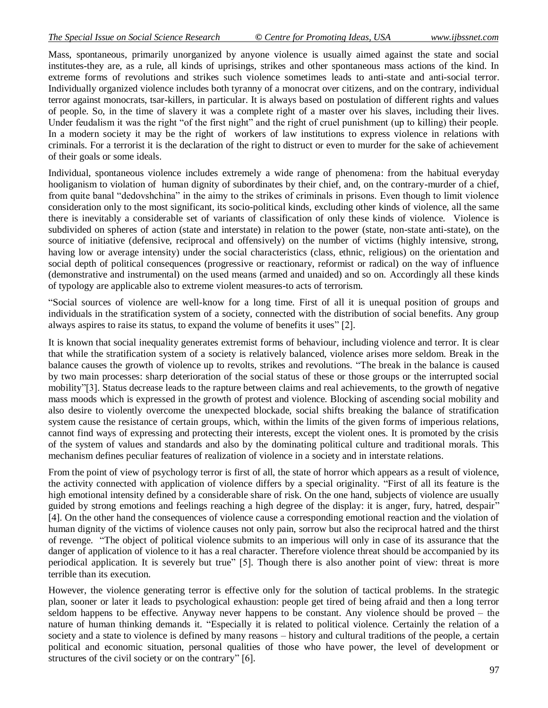Mass, spontaneous, primarily unorganized by anyone violence is usually aimed against the state and social institutes-they are, as a rule, all kinds of uprisings, strikes and other spontaneous mass actions of the kind. In extreme forms of revolutions and strikes such violence sometimes leads to anti-state and anti-social terror. Individually organized violence includes both tyranny of a monocrat over citizens, and on the contrary, individual terror against monocrats, tsar-killers, in particular. It is always based on postulation of different rights and values of people. So, in the time of slavery it was a complete right of a master over his slaves, including their lives. Under feudalism it was the right "of the first night" and the right of cruel punishment (up to killing) their people. In a modern society it may be the right of workers of law institutions to express violence in relations with criminals. For a terrorist it is the declaration of the right to distruct or even to murder for the sake of achievement of their goals or some ideals.

Individual, spontaneous violence includes extremely a wide range of phenomena: from the habitual everyday hooliganism to violation of human dignity of subordinates by their chief, and, on the contrary-murder of a chief, from quite banal "dedovshchina" in the aimy to the strikes of criminals in prisons. Even though to limit violence consideration only to the most significant, its socio-political kinds, excluding other kinds of violence, all the same there is inevitably a considerable set of variants of classification of only these kinds of violence. Violence is subdivided on spheres of action (state and interstate) in relation to the power (state, non-state anti-state), on the source of initiative (defensive, reciprocal and offensively) on the number of victims (highly intensive, strong, having low or average intensity) under the social characteristics (class, ethnic, religious) on the orientation and social depth of political consequences (progressive or reactionary, reformist or radical) on the way of influence (demonstrative and instrumental) on the used means (armed and unaided) and so on. Accordingly all these kinds of typology are applicable also to extreme violent measures-to acts of terrorism.

"Social sources of violence are well-know for a long time. First of all it is unequal position of groups and individuals in the stratification system of a society, connected with the distribution of social benefits. Any group always aspires to raise its status, to expand the volume of benefits it uses" [2].

It is known that social inequality generates extremist forms of behaviour, including violence and terror. It is clear that while the stratification system of a society is relatively balanced, violence arises more seldom. Break in the balance causes the growth of violence up to revolts, strikes and revolutions. "The break in the balance is caused by two main processes: sharp deterioration of the social status of these or those groups or the interrupted social mobility"[3]. Status decrease leads to the rapture between claims and real achievements, to the growth of negative mass moods which is expressed in the growth of protest and violence. Blocking of ascending social mobility and also desire to violently overcome the unexpected blockade, social shifts breaking the balance of stratification system cause the resistance of certain groups, which, within the limits of the given forms of imperious relations, cannot find ways of expressing and protecting their interests, except the violent ones. It is promoted by the crisis of the system of values and standards and also by the dominating political culture and traditional morals. This mechanism defines peculiar features of realization of violence in a society and in interstate relations.

From the point of view of psychology terror is first of all, the state of horror which appears as a result of violence, the activity connected with application of violence differs by a special originality. "First of all its feature is the high emotional intensity defined by a considerable share of risk. On the one hand, subjects of violence are usually guided by strong emotions and feelings reaching a high degree of the display: it is anger, fury, hatred, despair" [4]. On the other hand the consequences of violence cause a corresponding emotional reaction and the violation of human dignity of the victims of violence causes not only pain, sorrow but also the reciprocal hatred and the thirst of revenge. "The object of political violence submits to an imperious will only in case of its assurance that the danger of application of violence to it has a real character. Therefore violence threat should be accompanied by its periodical application. It is severely but true" [5]. Though there is also another point of view: threat is more terrible than its execution.

However, the violence generating terror is effective only for the solution of tactical problems. In the strategic plan, sooner or later it leads to psychological exhaustion: people get tired of being afraid and then a long terror seldom happens to be effective. Anyway never happens to be constant. Any violence should be proved – the nature of human thinking demands it. "Especially it is related to political violence. Certainly the relation of a society and a state to violence is defined by many reasons – history and cultural traditions of the people, a certain political and economic situation, personal qualities of those who have power, the level of development or structures of the civil society or on the contrary" [6].